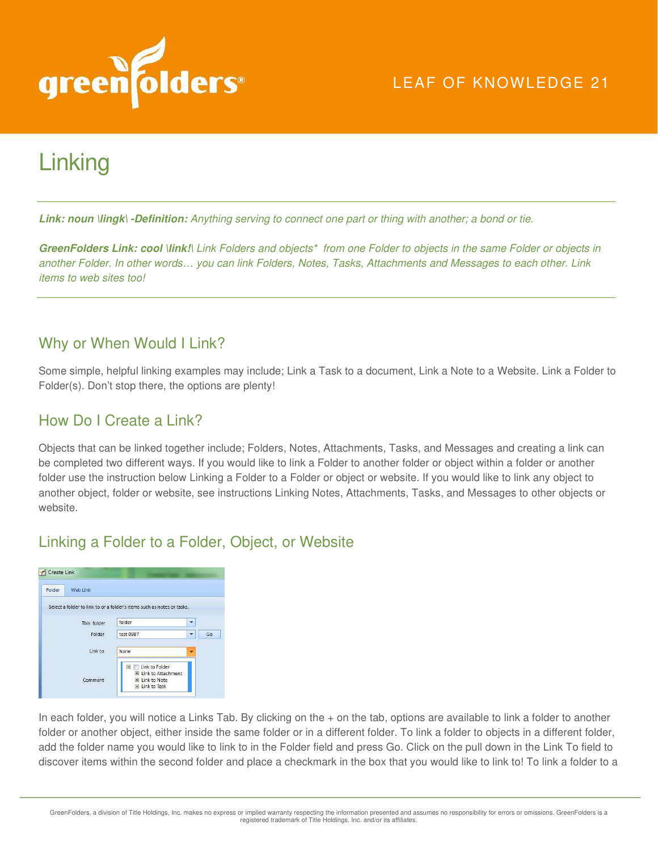

# **Linking**

**Link: noun \lingk\ -Definition:** *Anything serving to connect one part or thing with another; a bond or tie.* 

**GreenFolders Link: cool \link!\** *Link Folders and objects\* from one Folder to objects in the same Folder or objects in another Folder. In other words… you can link Folders, Notes, Tasks, Attachments and Messages to each other. Link items to web sites too!* 

### Why or When Would I Link?

Some simple, helpful linking examples may include; Link a Task to a document, Link a Note to a Website. Link a Folder to Folder(s). Don't stop there, the options are plenty!

### How Do I Create a Link?

Objects that can be linked together include; Folders, Notes, Attachments, Tasks, and Messages and creating a link can be completed two different ways. If you would like to link a Folder to another folder or object within a folder or another folder use the instruction below Linking a Folder to a Folder or object or website. If you would like to link any object to another object, folder or website, see instructions Linking Notes, Attachments, Tasks, and Messages to other objects or website.

### Linking a Folder to a Folder, Object, or Website



In each folder, you will notice a Links Tab. By clicking on the + on the tab, options are available to link a folder to another folder or another object, either inside the same folder or in a different folder. To link a folder to objects in a different folder, add the folder name you would like to link to in the Folder field and press Go. Click on the pull down in the Link To field to discover items within the second folder and place a checkmark in the box that you would like to link to! To link a folder to a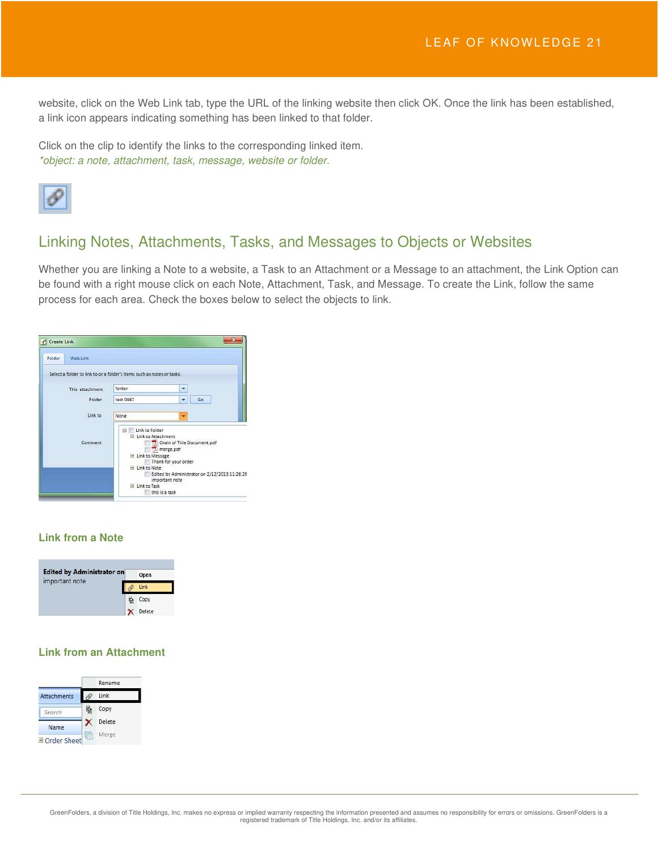website, click on the Web Link tab, type the URL of the linking website then click OK. Once the link has been established, a link icon appears indicating something has been linked to that folder.

Click on the clip to identify the links to the corresponding linked item. *\*object: a note, attachment, task, message, website or folder.* 



### Linking Notes, Attachments, Tasks, and Messages to Objects or Websites

Whether you are linking a Note to a website, a Task to an Attachment or a Message to an attachment, the Link Option can be found with a right mouse click on each Note, Attachment, Task, and Message. To create the Link, follow the same process for each area. Check the boxes below to select the objects to link.

| Folder<br>Web Link                                                     |                                                                                                                                                                                                           |                                  |    |  |
|------------------------------------------------------------------------|-----------------------------------------------------------------------------------------------------------------------------------------------------------------------------------------------------------|----------------------------------|----|--|
| Select a folder to link to or a folder's items such as notes or tasks. |                                                                                                                                                                                                           |                                  |    |  |
| This attachment                                                        | folder                                                                                                                                                                                                    | ٠                                |    |  |
| Folder                                                                 | test 0987                                                                                                                                                                                                 | $\overline{\phantom{a}}$         | Ga |  |
| Link to                                                                | None:                                                                                                                                                                                                     |                                  |    |  |
| Comment                                                                | Link to Folder<br>日<br>El Link to Attachment<br>Chain of Title Document.pdf<br>merge.pdf<br>E Link to Message<br>Thank for your order<br>El Link to Note<br>Edited by Administrator on 2/12/2013 11:26:29 |                                  |    |  |
|                                                                        | El Link to Task                                                                                                                                                                                           | important note<br>this is a task |    |  |

#### **Link from a Note**



#### **Link from an Attachment**